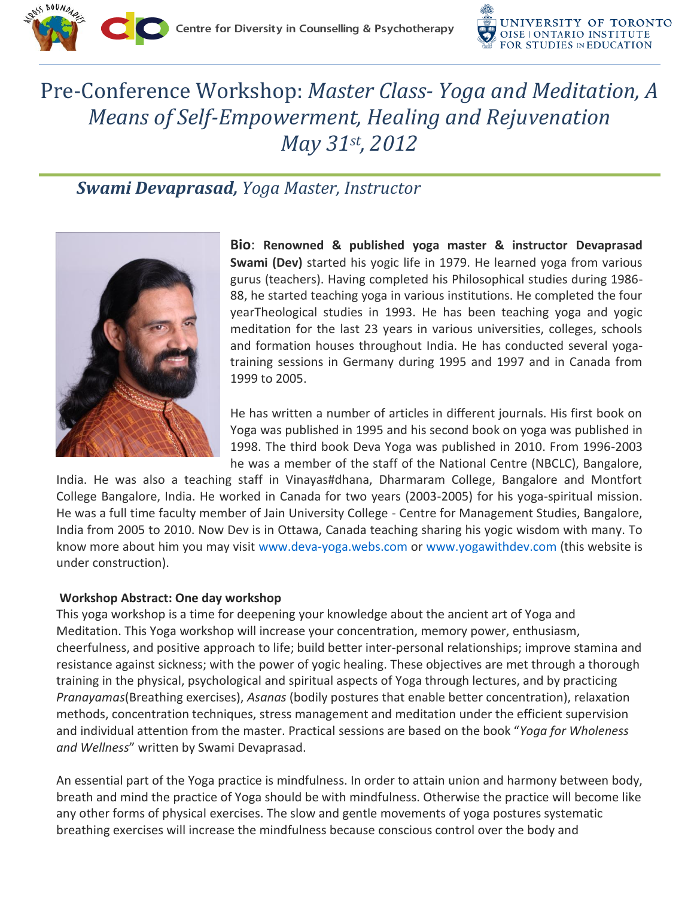

## Pre-Conference Workshop: *Master Class- Yoga and Meditation, A Means of Self-Empowerment, Healing and Rejuvenation May 31st, 2012*

## *Swami Devaprasad, Yoga Master, Instructor*



**Bio**: **Renowned & published yoga master & instructor Devaprasad Swami (Dev)** started his yogic life in 1979. He learned yoga from various gurus (teachers). Having completed his Philosophical studies during 1986- 88, he started teaching yoga in various institutions. He completed the four yearTheological studies in 1993. He has been teaching yoga and yogic meditation for the last 23 years in various universities, colleges, schools and formation houses throughout India. He has conducted several yogatraining sessions in Germany during 1995 and 1997 and in Canada from 1999 to 2005.

He has written a number of articles in different journals. His first book on Yoga was published in 1995 and his second book on yoga was published in 1998. The third book Deva Yoga was published in 2010. From 1996-2003 he was a member of the staff of the National Centre (NBCLC), Bangalore,

India. He was also a teaching staff in Vinayas#dhana, Dharmaram College, Bangalore and Montfort College Bangalore, India. He worked in Canada for two years (2003-2005) for his yoga-spiritual mission. He was a full time faculty member of Jain University College - Centre for Management Studies, Bangalore, India from 2005 to 2010. Now Dev is in Ottawa, Canada teaching sharing his yogic wisdom with many. To know more about him you may visit [www.deva-yoga.webs.com](http://www.deva-yoga.webs.com/) or [www.yogawithdev.com](http://www.yogawithdev.com/) (this website is under construction).

## **Workshop Abstract: One day workshop**

This yoga workshop is a time for deepening your knowledge about the ancient art of Yoga and Meditation. This Yoga workshop will increase your concentration, memory power, enthusiasm, cheerfulness, and positive approach to life; build better inter‐personal relationships; improve stamina and resistance against sickness; with the power of yogic healing. These objectives are met through a thorough training in the physical, psychological and spiritual aspects of Yoga through lectures, and by practicing *Pranayamas*(Breathing exercises), *Asanas* (bodily postures that enable better concentration), relaxation methods, concentration techniques, stress management and meditation under the efficient supervision and individual attention from the master. Practical sessions are based on the book "*Yoga for Wholeness and Wellness*" written by Swami Devaprasad.

An essential part of the Yoga practice is mindfulness. In order to attain union and harmony between body, breath and mind the practice of Yoga should be with mindfulness. Otherwise the practice will become like any other forms of physical exercises. The slow and gentle movements of yoga postures systematic breathing exercises will increase the mindfulness because conscious control over the body and